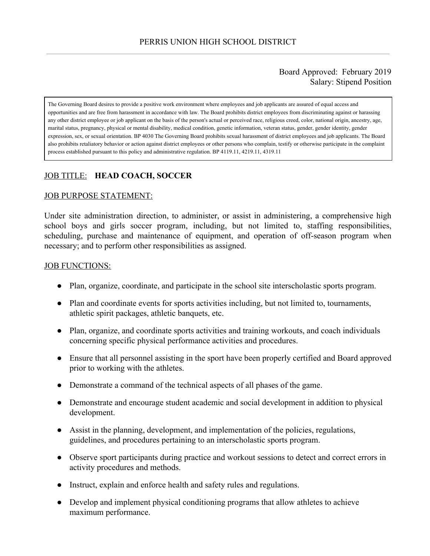## Board Approved: February 2019 Salary: Stipend Position

The Governing Board desires to provide a positive work environment where employees and job applicants are assured of equal access and opportunities and are free from harassment in accordance with law. The Board prohibits district employees from discriminating against or harassing any other district employee or job applicant on the basis of the person's actual or perceived race, religious creed, color, national origin, ancestry, age, marital status, pregnancy, physical or mental disability, medical condition, genetic information, veteran status, gender, gender identity, gender expression, sex, or sexual orientation. BP 4030 The Governing Board prohibits sexual harassment of district employees and job applicants. The Board also prohibits retaliatory behavior or action against district employees or other persons who complain, testify or otherwise participate in the complaint process established pursuant to this policy and administrative regulation. BP 4119.11, 4219.11, 4319.11

# JOB TITLE: **HEAD COACH, SOCCER**

#### JOB PURPOSE STATEMENT:

Under site administration direction, to administer, or assist in administering, a comprehensive high school boys and girls soccer program, including, but not limited to, staffing responsibilities, scheduling, purchase and maintenance of equipment, and operation of off-season program when necessary; and to perform other responsibilities as assigned.

#### JOB FUNCTIONS:

- Plan, organize, coordinate, and participate in the school site interscholastic sports program.
- Plan and coordinate events for sports activities including, but not limited to, tournaments, athletic spirit packages, athletic banquets, etc.
- Plan, organize, and coordinate sports activities and training workouts, and coach individuals concerning specific physical performance activities and procedures.
- Ensure that all personnel assisting in the sport have been properly certified and Board approved prior to working with the athletes.
- Demonstrate a command of the technical aspects of all phases of the game.
- Demonstrate and encourage student academic and social development in addition to physical development.
- Assist in the planning, development, and implementation of the policies, regulations, guidelines, and procedures pertaining to an interscholastic sports program.
- Observe sport participants during practice and workout sessions to detect and correct errors in activity procedures and methods.
- Instruct, explain and enforce health and safety rules and regulations.
- Develop and implement physical conditioning programs that allow athletes to achieve maximum performance.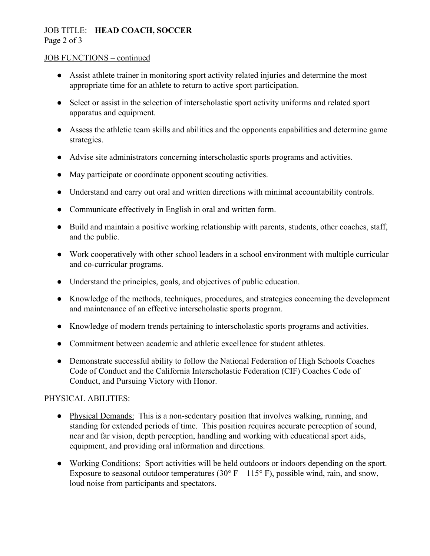## JOB TITLE: **HEAD COACH, SOCCER** Page 2 of 3

#### JOB FUNCTIONS – continued

- Assist athlete trainer in monitoring sport activity related injuries and determine the most appropriate time for an athlete to return to active sport participation.
- Select or assist in the selection of interscholastic sport activity uniforms and related sport apparatus and equipment.
- Assess the athletic team skills and abilities and the opponents capabilities and determine game strategies.
- Advise site administrators concerning interscholastic sports programs and activities.
- May participate or coordinate opponent scouting activities.
- Understand and carry out oral and written directions with minimal accountability controls.
- Communicate effectively in English in oral and written form.
- Build and maintain a positive working relationship with parents, students, other coaches, staff, and the public.
- Work cooperatively with other school leaders in a school environment with multiple curricular and co-curricular programs.
- Understand the principles, goals, and objectives of public education.
- Knowledge of the methods, techniques, procedures, and strategies concerning the development and maintenance of an effective interscholastic sports program.
- Knowledge of modern trends pertaining to interscholastic sports programs and activities.
- Commitment between academic and athletic excellence for student athletes.
- Demonstrate successful ability to follow the National Federation of High Schools Coaches Code of Conduct and the California Interscholastic Federation (CIF) Coaches Code of Conduct, and Pursuing Victory with Honor.

# PHYSICAL ABILITIES:

- Physical Demands: This is a non-sedentary position that involves walking, running, and standing for extended periods of time. This position requires accurate perception of sound, near and far vision, depth perception, handling and working with educational sport aids, equipment, and providing oral information and directions.
- Working Conditions: Sport activities will be held outdoors or indoors depending on the sport. Exposure to seasonal outdoor temperatures (30 $\degree$  F – 115 $\degree$  F), possible wind, rain, and snow, loud noise from participants and spectators.